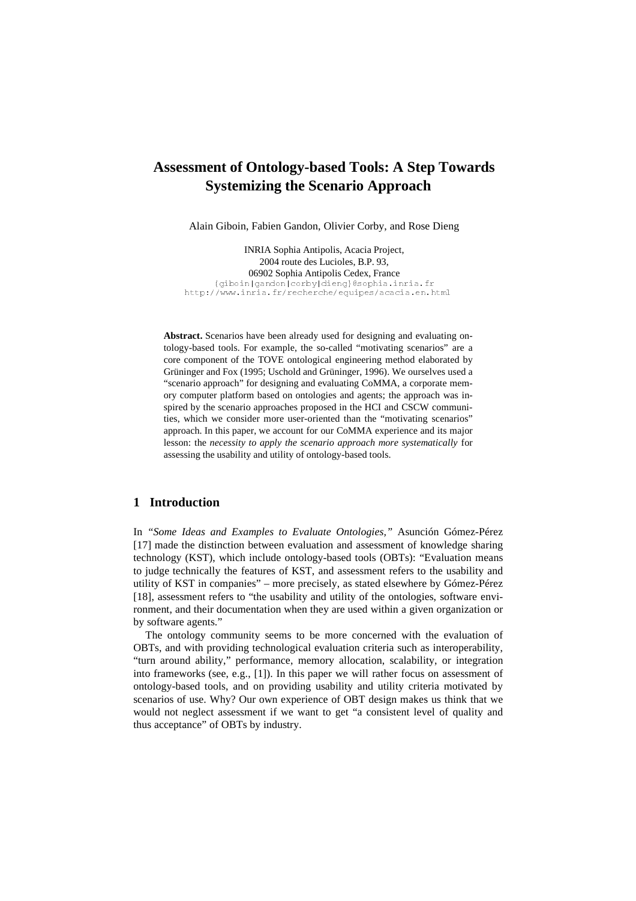# **Assessment of Ontology-based Tools: A Step Towards Systemizing the Scenario Approach**

Alain Giboin, Fabien Gandon, Olivier Corby, and Rose Dieng

INRIA Sophia Antipolis, Acacia Project, 2004 route des Lucioles, B.P. 93, 06902 Sophia Antipolis Cedex, France (giboin | gandon | corby | dieng } @sophia.inria.fr http://www.inria.fr/recherche/equipes/acacia.en.html

**Abstract.** Scenarios have been already used for designing and evaluating ontology-based tools. For example, the so-called "motivating scenarios" are a core component of the TOVE ontological engineering method elaborated by Grüninger and Fox (1995; Uschold and Grüninger, 1996). We ourselves used a "scenario approach" for designing and evaluating CoMMA, a corporate memory computer platform based on ontologies and agents; the approach was inspired by the scenario approaches proposed in the HCI and CSCW communities, which we consider more user-oriented than the "motivating scenarios" approach. In this paper, we account for our CoMMA experience and its major lesson: the *necessity to apply the scenario approach more systematically* for assessing the usability and utility of ontology-based tools.

#### **1 Introduction**

In *"Some Ideas and Examples to Evaluate Ontologies,"* Asunción Gómez-Pérez [17] made the distinction between evaluation and assessment of knowledge sharing technology (KST), which include ontology-based tools (OBTs): "Evaluation means to judge technically the features of KST, and assessment refers to the usability and utility of KST in companies" – more precisely, as stated elsewhere by Gómez-Pérez [18], assessment refers to "the usability and utility of the ontologies, software environment, and their documentation when they are used within a given organization or by software agents."

The ontology community seems to be more concerned with the evaluation of OBTs, and with providing technological evaluation criteria such as interoperability, "turn around ability," performance, memory allocation, scalability, or integration into frameworks (see, e.g., [1]). In this paper we will rather focus on assessment of ontology-based tools, and on providing usability and utility criteria motivated by scenarios of use. Why? Our own experience of OBT design makes us think that we would not neglect assessment if we want to get "a consistent level of quality and thus acceptance" of OBTs by industry.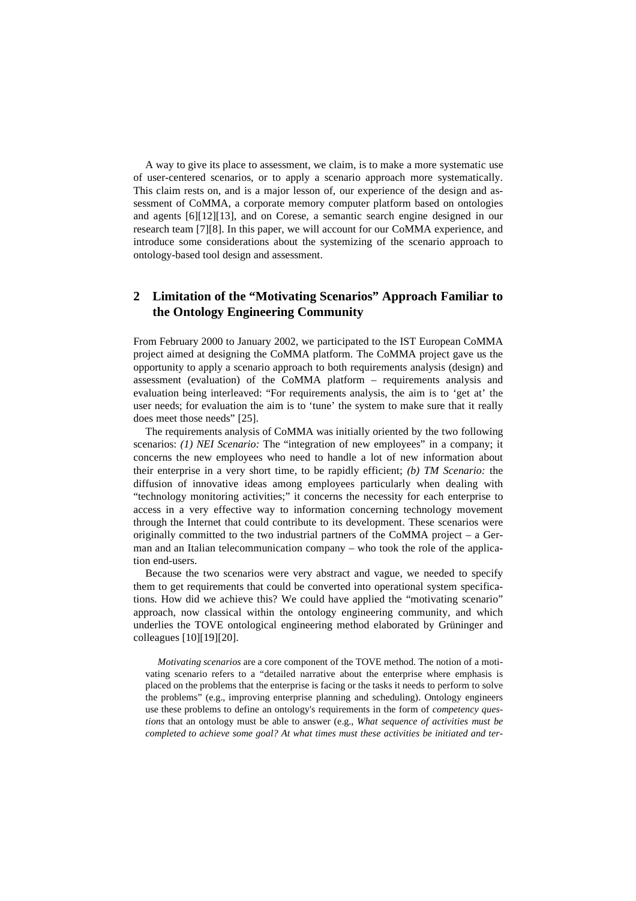A way to give its place to assessment, we claim, is to make a more systematic use of user-centered scenarios, or to apply a scenario approach more systematically. This claim rests on, and is a major lesson of, our experience of the design and assessment of CoMMA, a corporate memory computer platform based on ontologies and agents [6][12][13], and on Corese, a semantic search engine designed in our research team [7][8]. In this paper, we will account for our CoMMA experience, and introduce some considerations about the systemizing of the scenario approach to ontology-based tool design and assessment.

## **2 Limitation of the "Motivating Scenarios" Approach Familiar to the Ontology Engineering Community**

From February 2000 to January 2002, we participated to the IST European CoMMA project aimed at designing the CoMMA platform. The CoMMA project gave us the opportunity to apply a scenario approach to both requirements analysis (design) and assessment (evaluation) of the CoMMA platform – requirements analysis and evaluation being interleaved: "For requirements analysis, the aim is to 'get at' the user needs; for evaluation the aim is to 'tune' the system to make sure that it really does meet those needs" [25].

The requirements analysis of CoMMA was initially oriented by the two following scenarios: *(1) NEI Scenario:* The "integration of new employees" in a company; it concerns the new employees who need to handle a lot of new information about their enterprise in a very short time, to be rapidly efficient; *(b) TM Scenario:* the diffusion of innovative ideas among employees particularly when dealing with "technology monitoring activities;" it concerns the necessity for each enterprise to access in a very effective way to information concerning technology movement through the Internet that could contribute to its development. These scenarios were originally committed to the two industrial partners of the CoMMA project – a German and an Italian telecommunication company – who took the role of the application end-users.

Because the two scenarios were very abstract and vague, we needed to specify them to get requirements that could be converted into operational system specifications. How did we achieve this? We could have applied the "motivating scenario" approach, now classical within the ontology engineering community, and which underlies the TOVE ontological engineering method elaborated by Grüninger and colleagues [10][19][20].

*Motivating scenarios* are a core component of the TOVE method. The notion of a motivating scenario refers to a "detailed narrative about the enterprise where emphasis is placed on the problems that the enterprise is facing or the tasks it needs to perform to solve the problems" (e.g., improving enterprise planning and scheduling). Ontology engineers use these problems to define an ontology's requirements in the form of *competency questions* that an ontology must be able to answer (e.g., *What sequence of activities must be completed to achieve some goal? At what times must these activities be initiated and ter-*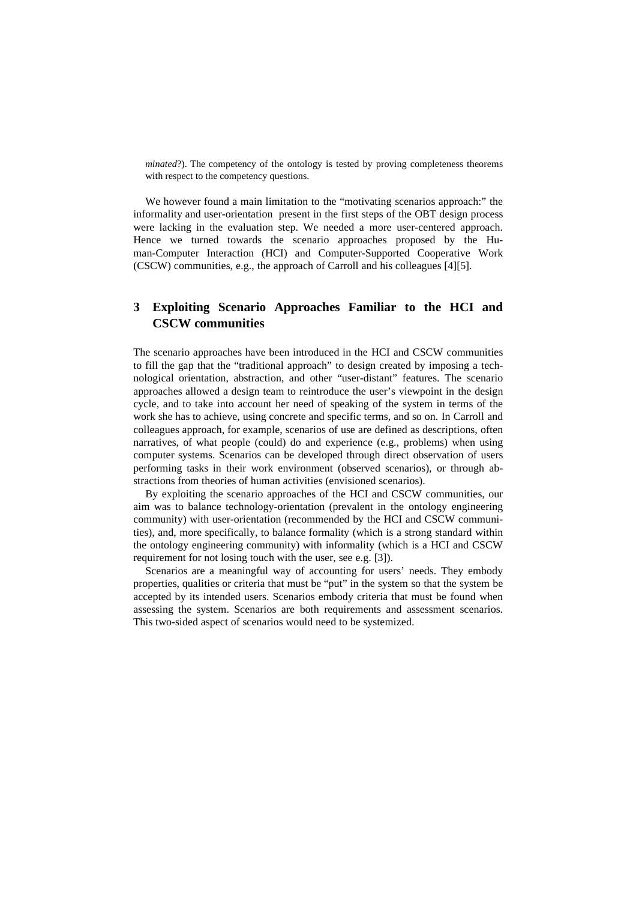*minated*?). The competency of the ontology is tested by proving completeness theorems with respect to the competency questions.

We however found a main limitation to the "motivating scenarios approach:" the informality and user-orientation present in the first steps of the OBT design process were lacking in the evaluation step. We needed a more user-centered approach. Hence we turned towards the scenario approaches proposed by the Human-Computer Interaction (HCI) and Computer-Supported Cooperative Work (CSCW) communities, e.g., the approach of Carroll and his colleagues [4][5].

## **3 Exploiting Scenario Approaches Familiar to the HCI and CSCW communities**

The scenario approaches have been introduced in the HCI and CSCW communities to fill the gap that the "traditional approach" to design created by imposing a technological orientation, abstraction, and other "user-distant" features. The scenario approaches allowed a design team to reintroduce the user's viewpoint in the design cycle, and to take into account her need of speaking of the system in terms of the work she has to achieve, using concrete and specific terms, and so on. In Carroll and colleagues approach, for example, scenarios of use are defined as descriptions, often narratives, of what people (could) do and experience (e.g., problems) when using computer systems. Scenarios can be developed through direct observation of users performing tasks in their work environment (observed scenarios), or through abstractions from theories of human activities (envisioned scenarios).

By exploiting the scenario approaches of the HCI and CSCW communities, our aim was to balance technology-orientation (prevalent in the ontology engineering community) with user-orientation (recommended by the HCI and CSCW communities), and, more specifically, to balance formality (which is a strong standard within the ontology engineering community) with informality (which is a HCI and CSCW requirement for not losing touch with the user, see e.g. [3]).

Scenarios are a meaningful way of accounting for users' needs. They embody properties, qualities or criteria that must be "put" in the system so that the system be accepted by its intended users. Scenarios embody criteria that must be found when assessing the system. Scenarios are both requirements and assessment scenarios. This two-sided aspect of scenarios would need to be systemized.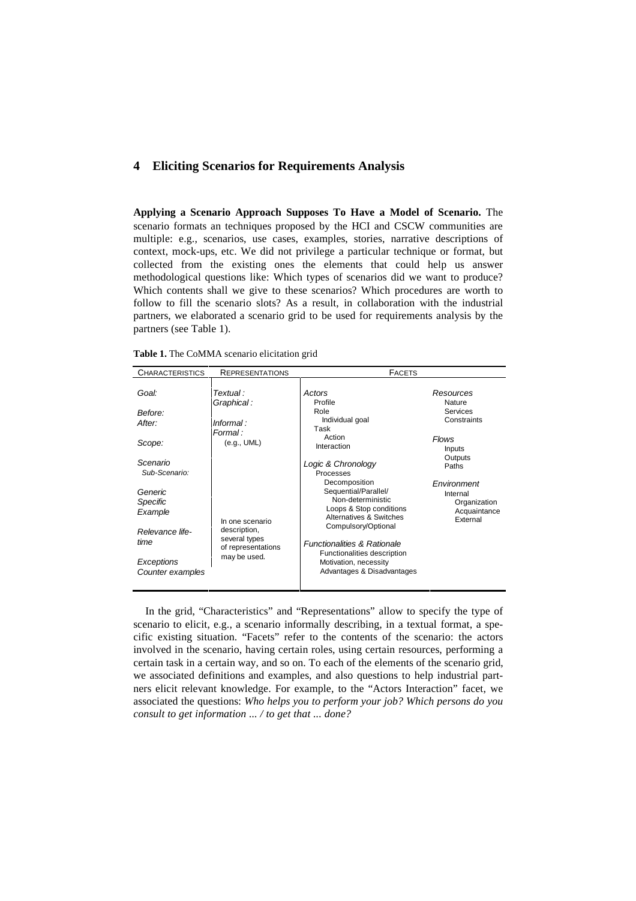#### **4 Eliciting Scenarios for Requirements Analysis**

**Applying a Scenario Approach Supposes To Have a Model of Scenario.** The scenario formats an techniques proposed by the HCI and CSCW communities are multiple: e.g., scenarios, use cases, examples, stories, narrative descriptions of context, mock-ups, etc. We did not privilege a particular technique or format, but collected from the existing ones the elements that could help us answer methodological questions like: Which types of scenarios did we want to produce? Which contents shall we give to these scenarios? Which procedures are worth to follow to fill the scenario slots? As a result, in collaboration with the industrial partners, we elaborated a scenario grid to be used for requirements analysis by the partners (see Table 1).

| Table 1. The CoMMA scenario elicitation grid |  |  |  |  |
|----------------------------------------------|--|--|--|--|
|----------------------------------------------|--|--|--|--|

| <b>CHARACTERISTICS</b>         | <b>REPRESENTATIONS</b>                                                 | <b>FACETS</b>                                                                                                    |                                                                     |
|--------------------------------|------------------------------------------------------------------------|------------------------------------------------------------------------------------------------------------------|---------------------------------------------------------------------|
| Goal:                          | Textual :<br>Graphical:                                                | Actors<br>Profile                                                                                                | Resources<br>Nature                                                 |
| Before:                        |                                                                        | Role                                                                                                             | Services                                                            |
| After:                         | Informal:<br>Formal:                                                   | Individual goal<br>Task                                                                                          | Constraints                                                         |
| Scope:                         | (e.g., UML)                                                            | Action<br>Interaction                                                                                            | Flows<br>Inputs                                                     |
| Scenario<br>Sub-Scenario:      |                                                                        | Logic & Chronology<br>Processes                                                                                  | Outputs<br>Paths                                                    |
| Generic<br>Specific<br>Example | In one scenario<br>description,<br>several types<br>of representations | Decomposition<br>Sequential/Parallel/<br>Non-deterministic<br>Loops & Stop conditions<br>Alternatives & Switches | Environment<br>Internal<br>Organization<br>Acquaintance<br>External |
| Relevance life-<br>time        |                                                                        | Compulsory/Optional<br><b>Functionalities &amp; Rationale</b>                                                    |                                                                     |
| Exceptions<br>Counter examples | may be used.                                                           | Functionalities description<br>Motivation, necessity<br>Advantages & Disadvantages                               |                                                                     |

In the grid, "Characteristics" and "Representations" allow to specify the type of scenario to elicit, e.g., a scenario informally describing, in a textual format, a specific existing situation. "Facets" refer to the contents of the scenario: the actors involved in the scenario, having certain roles, using certain resources, performing a certain task in a certain way, and so on. To each of the elements of the scenario grid, we associated definitions and examples, and also questions to help industrial partners elicit relevant knowledge. For example, to the "Actors Interaction" facet, we associated the questions: *Who helps you to perform your job? Which persons do you consult to get information ... / to get that ... done?*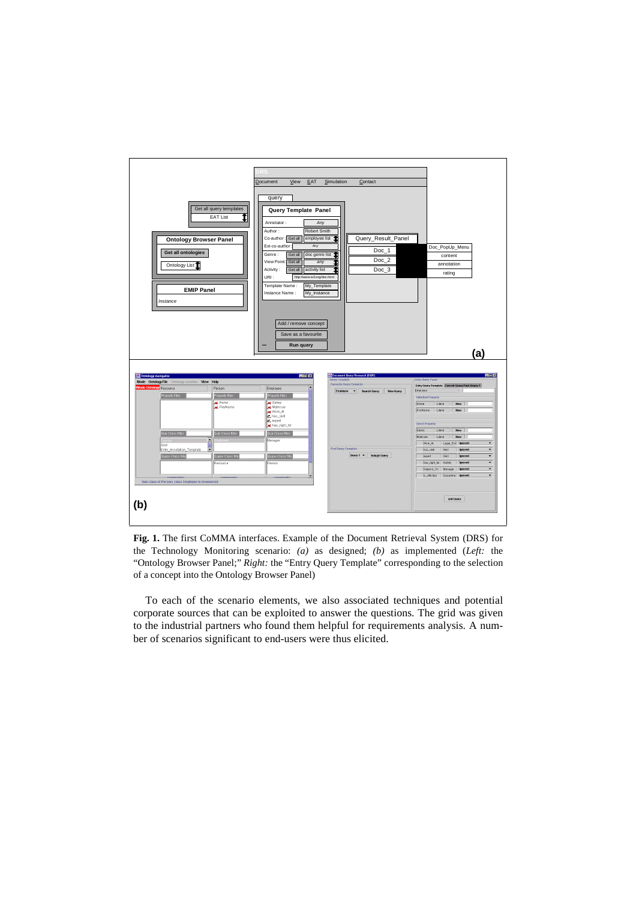

**Fig. 1.** The first CoMMA interfaces. Example of the Document Retrieval System (DRS) for the Technology Monitoring scenario: *(a)* as designed; *(b)* as implemented (*Left:* the "Ontology Browser Panel;" *Right:* the "Entry Query Template" corresponding to the selection of a concept into the Ontology Browser Panel)

To each of the scenario elements, we also associated techniques and potential corporate sources that can be exploited to answer the questions. The grid was given to the industrial partners who found them helpful for requirements analysis. A number of scenarios significant to end-users were thus elicited.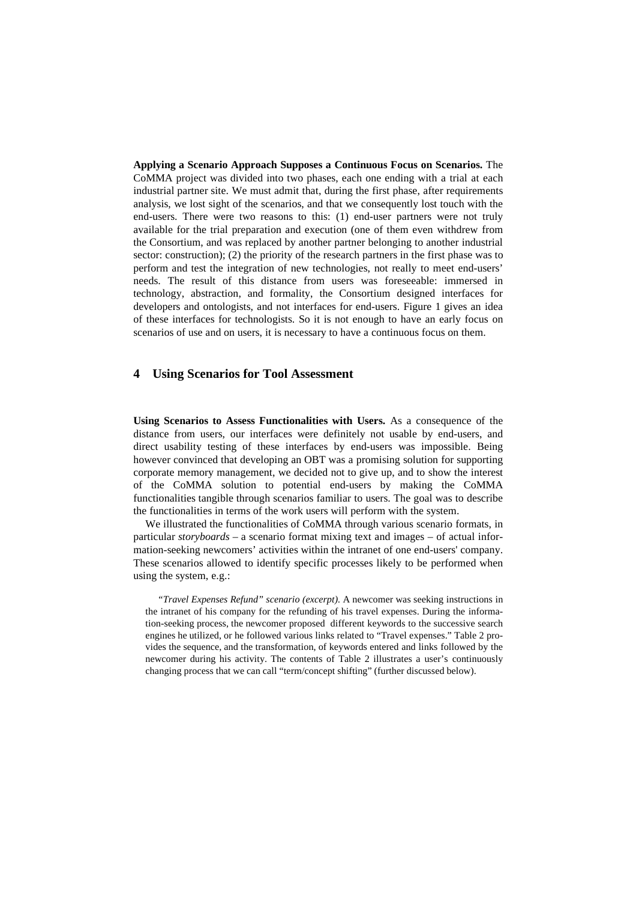**Applying a Scenario Approach Supposes a Continuous Focus on Scenarios.** The CoMMA project was divided into two phases, each one ending with a trial at each industrial partner site. We must admit that, during the first phase, after requirements analysis, we lost sight of the scenarios, and that we consequently lost touch with the end-users. There were two reasons to this: (1) end-user partners were not truly available for the trial preparation and execution (one of them even withdrew from the Consortium, and was replaced by another partner belonging to another industrial sector: construction); (2) the priority of the research partners in the first phase was to perform and test the integration of new technologies, not really to meet end-users' needs. The result of this distance from users was foreseeable: immersed in technology, abstraction, and formality, the Consortium designed interfaces for developers and ontologists, and not interfaces for end-users. Figure 1 gives an idea of these interfaces for technologists. So it is not enough to have an early focus on scenarios of use and on users, it is necessary to have a continuous focus on them.

#### **4 Using Scenarios for Tool Assessment**

**Using Scenarios to Assess Functionalities with Users.** As a consequence of the distance from users, our interfaces were definitely not usable by end-users, and direct usability testing of these interfaces by end-users was impossible. Being however convinced that developing an OBT was a promising solution for supporting corporate memory management, we decided not to give up, and to show the interest of the CoMMA solution to potential end-users by making the CoMMA functionalities tangible through scenarios familiar to users. The goal was to describe the functionalities in terms of the work users will perform with the system.

We illustrated the functionalities of CoMMA through various scenario formats, in particular *storyboards* – a scenario format mixing text and images – of actual information-seeking newcomers' activities within the intranet of one end-users' company. These scenarios allowed to identify specific processes likely to be performed when using the system, e.g.:

*"Travel Expenses Refund" scenario (excerpt).* A newcomer was seeking instructions in the intranet of his company for the refunding of his travel expenses. During the information-seeking process, the newcomer proposed different keywords to the successive search engines he utilized, or he followed various links related to "Travel expenses." Table 2 provides the sequence, and the transformation, of keywords entered and links followed by the newcomer during his activity. The contents of Table 2 illustrates a user's continuously changing process that we can call "term/concept shifting" (further discussed below).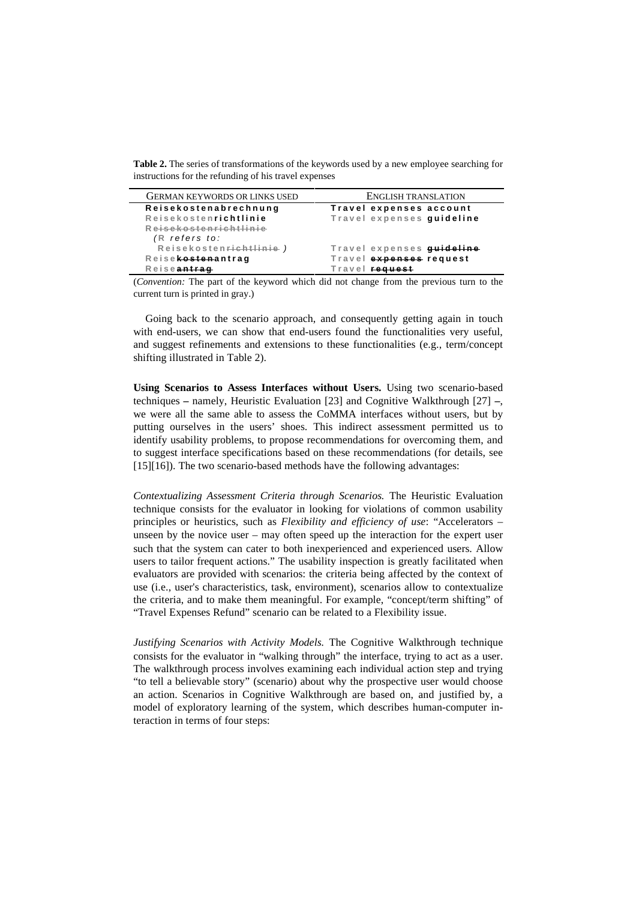**Table 2.** The series of transformations of the keywords used by a new employee searching for instructions for the refunding of his travel expenses

| <b>GERMAN KEYWORDS OR LINKS USED</b> | ENGLISH TRANSLATION       |
|--------------------------------------|---------------------------|
| Reisekostenabrechnung                | Travel expenses account   |
| Reisekostenrichtlinie                | Travel expenses guideline |
| Reisekostenrichtlinie                |                           |
| $(R$ refers to:                      |                           |
| Reisekosten <del>richtlinie</del> )  | Travel expenses guideline |
| Reisekostenantrag                    | Travel expenses request   |
| Reiseantrag                          | Travel request            |

(*Convention:* The part of the keyword which did not change from the previous turn to the current turn is printed in gray.)

Going back to the scenario approach, and consequently getting again in touch with end-users, we can show that end-users found the functionalities very useful, and suggest refinements and extensions to these functionalities (e.g., term/concept shifting illustrated in Table 2).

**Using Scenarios to Assess Interfaces without Users.** Using two scenario-based techniques **–** namely, Heuristic Evaluation [23] and Cognitive Walkthrough [27] **–**, we were all the same able to assess the CoMMA interfaces without users, but by putting ourselves in the users' shoes. This indirect assessment permitted us to identify usability problems, to propose recommendations for overcoming them, and to suggest interface specifications based on these recommendations (for details, see [15][16]). The two scenario-based methods have the following advantages:

*Contextualizing Assessment Criteria through Scenarios.* The Heuristic Evaluation technique consists for the evaluator in looking for violations of common usability principles or heuristics, such as *Flexibility and efficiency of use*: "Accelerators – unseen by the novice user *–* may often speed up the interaction for the expert user such that the system can cater to both inexperienced and experienced users. Allow users to tailor frequent actions." The usability inspection is greatly facilitated when evaluators are provided with scenarios: the criteria being affected by the context of use (i.e., user's characteristics, task, environment), scenarios allow to contextualize the criteria, and to make them meaningful. For example, "concept/term shifting" of "Travel Expenses Refund" scenario can be related to a Flexibility issue.

*Justifying Scenarios with Activity Models.* The Cognitive Walkthrough technique consists for the evaluator in "walking through" the interface, trying to act as a user. The walkthrough process involves examining each individual action step and trying "to tell a believable story" (scenario) about why the prospective user would choose an action. Scenarios in Cognitive Walkthrough are based on, and justified by, a model of exploratory learning of the system, which describes human-computer interaction in terms of four steps: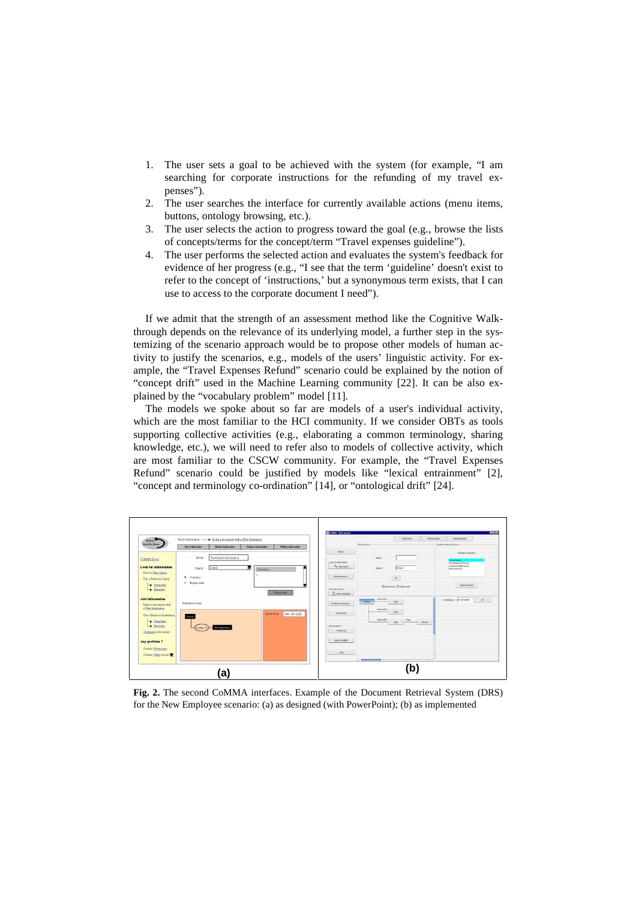- 1. The user sets a goal to be achieved with the system (for example, "I am searching for corporate instructions for the refunding of my travel expenses").
- 2. The user searches the interface for currently available actions (menu items, buttons, ontology browsing, etc.).
- 3. The user selects the action to progress toward the goal (e.g., browse the lists of concepts/terms for the concept/term "Travel expenses guideline").
- 4. The user performs the selected action and evaluates the system's feedback for evidence of her progress (e.g., "I see that the term 'guideline' doesn't exist to refer to the concept of 'instructions,' but a synonymous term exists, that I can use to access to the corporate document I need").

If we admit that the strength of an assessment method like the Cognitive Walkthrough depends on the relevance of its underlying model, a further step in the systemizing of the scenario approach would be to propose other models of human activity to justify the scenarios, e.g., models of the users' linguistic activity. For example, the "Travel Expenses Refund" scenario could be explained by the notion of "concept drift" used in the Machine Learning community [22]. It can be also explained by the "vocabulary problem" model [11].

The models we spoke about so far are models of a user's individual activity, which are the most familiar to the HCI community. If we consider OBTs as tools supporting collective activities (e.g., elaborating a common terminology, sharing knowledge, etc.), we will need to refer also to models of collective activity, which are most familiar to the CSCW community. For example, the "Travel Expenses Refund" scenario could be justified by models like "lexical entrainment" [2], "concept and terminology co-ordination" [14], or "ontological drift" [24].



**Fig. 2.** The second CoMMA interfaces. Example of the Document Retrieval System (DRS) for the New Employee scenario: (a) as designed (with PowerPoint); (b) as implemented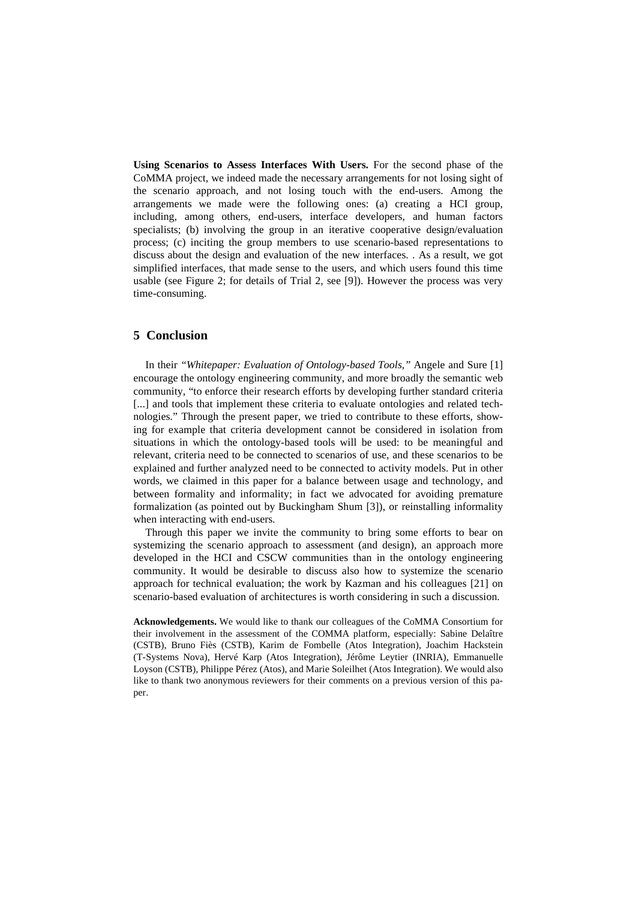**Using Scenarios to Assess Interfaces With Users.** For the second phase of the CoMMA project, we indeed made the necessary arrangements for not losing sight of the scenario approach, and not losing touch with the end-users. Among the arrangements we made were the following ones: (a) creating a HCI group, including, among others, end-users, interface developers, and human factors specialists; (b) involving the group in an iterative cooperative design/evaluation process; (c) inciting the group members to use scenario-based representations to discuss about the design and evaluation of the new interfaces. . As a result, we got simplified interfaces, that made sense to the users, and which users found this time usable (see Figure 2; for details of Trial 2, see [9]). However the process was very time-consuming.

### **5 Conclusion**

In their *"Whitepaper: Evaluation of Ontology-based Tools,"* Angele and Sure [1] encourage the ontology engineering community, and more broadly the semantic web community, "to enforce their research efforts by developing further standard criteria [...] and tools that implement these criteria to evaluate ontologies and related technologies." Through the present paper, we tried to contribute to these efforts, showing for example that criteria development cannot be considered in isolation from situations in which the ontology-based tools will be used: to be meaningful and relevant, criteria need to be connected to scenarios of use, and these scenarios to be explained and further analyzed need to be connected to activity models. Put in other words, we claimed in this paper for a balance between usage and technology, and between formality and informality; in fact we advocated for avoiding premature formalization (as pointed out by Buckingham Shum [3]), or reinstalling informality when interacting with end-users.

Through this paper we invite the community to bring some efforts to bear on systemizing the scenario approach to assessment (and design), an approach more developed in the HCI and CSCW communities than in the ontology engineering community. It would be desirable to discuss also how to systemize the scenario approach for technical evaluation; the work by Kazman and his colleagues [21] on scenario-based evaluation of architectures is worth considering in such a discussion.

**Acknowledgements.** We would like to thank our colleagues of the CoMMA Consortium for their involvement in the assessment of the COMMA platform, especially: Sabine Delaître (CSTB), Bruno Fiès (CSTB), Karim de Fombelle (Atos Integration), Joachim Hackstein (T-Systems Nova), Hervé Karp (Atos Integration), Jérôme Leytier (INRIA), Emmanuelle Loyson (CSTB), Philippe Pérez (Atos), and Marie Soleilhet (Atos Integration). We would also like to thank two anonymous reviewers for their comments on a previous version of this paper.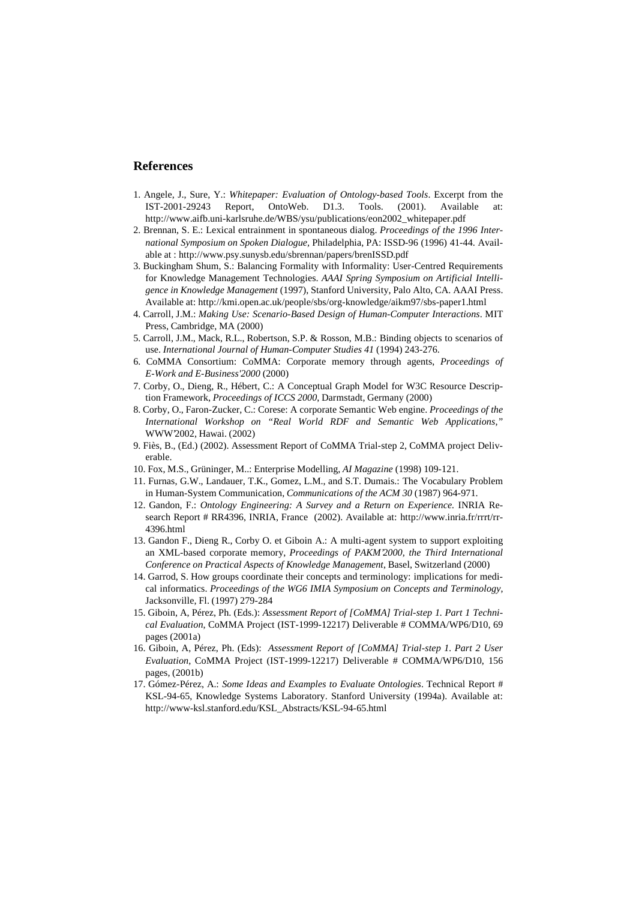#### **References**

- 1. Angele, J., Sure, Y.: *Whitepaper: Evaluation of Ontology-based Tools*. Excerpt from the  $IST-2001-29243$  Report, OntoWeb. D1.3. Tools.  $(2001)$ . Available http://www.aifb.uni-karlsruhe.de/WBS/ysu/publications/eon2002\_whitepaper.pdf
- 2. Brennan, S. E.: Lexical entrainment in spontaneous dialog. *Proceedings of the 1996 International Symposium on Spoken Dialogue,* Philadelphia, PA: ISSD-96 (1996) 41-44. Available at : http://www.psy.sunysb.edu/sbrennan/papers/brenISSD.pdf
- 3. Buckingham Shum, S.: Balancing Formality with Informality: User-Centred Requirements for Knowledge Management Technologies. *AAAI Spring Symposium on Artificial Intelligence in Knowledge Management* (1997), Stanford University, Palo Alto, CA. AAAI Press. Available at: http://kmi.open.ac.uk/people/sbs/org-knowledge/aikm97/sbs-paper1.html
- 4. Carroll, J.M.: *Making Use: Scenario-Based Design of Human-Computer Interactions*. MIT Press, Cambridge, MA (2000)
- 5. Carroll, J.M., Mack, R.L., Robertson, S.P. & Rosson, M.B.: Binding objects to scenarios of use. *International Journal of Human-Computer Studies 41* (1994) 243-276.
- 6. CoMMA Consortium: CoMMA: Corporate memory through agents, *Proceedings of E-Work and E-Business'2000* (2000)
- 7. Corby, O., Dieng, R., Hébert, C.: A Conceptual Graph Model for W3C Resource Description Framework, *Proceedings of ICCS 2000*, Darmstadt, Germany (2000)
- 8. Corby, O., Faron-Zucker, C.: Corese: A corporate Semantic Web engine. *Proceedings of the International Workshop on "Real World RDF and Semantic Web Applications,"* WWW'2002, Hawai. (2002)
- 9. Fiès, B., (Ed.) (2002). Assessment Report of CoMMA Trial-step 2, CoMMA project Deliverable.
- 10. Fox, M.S., Grüninger, M..: Enterprise Modelling, *AI Magazine* (1998) 109-121.
- 11. Furnas, G.W., Landauer, T.K., Gomez, L.M., and S.T. Dumais.: The Vocabulary Problem in Human-System Communication, *Communications of the ACM 30* (1987) 964-971.
- 12. Gandon, F.: *Ontology Engineering: A Survey and a Return on Experience.* INRIA Research Report # RR4396, INRIA, France (2002). Available at: http://www.inria.fr/rrrt/rr-4396.html
- 13. Gandon F., Dieng R., Corby O. et Giboin A.: A multi-agent system to support exploiting an XML-based corporate memory, *Proceedings of PAKM'2000, the Third International Conference on Practical Aspects of Knowledge Management*, Basel, Switzerland (2000)
- 14. Garrod, S. How groups coordinate their concepts and terminology: implications for medical informatics. *Proceedings of the WG6 IMIA Symposium on Concepts and Terminology*, Jacksonville, Fl. (1997) 279-284
- 15. Giboin, A, Pérez, Ph. (Eds.): *Assessment Report of [CoMMA] Trial-step 1. Part 1 Technical Evaluation*, CoMMA Project (IST-1999-12217) Deliverable # COMMA/WP6/D10, 69 pages (2001a)
- 16. Giboin, A, Pérez, Ph. (Eds): *Assessment Report of [CoMMA] Trial-step 1. Part 2 User Evaluation*, CoMMA Project (IST-1999-12217) Deliverable # COMMA/WP6/D10, 156 pages, (2001b)
- 17. Gómez-Pérez, A.: *Some Ideas and Examples to Evaluate Ontologies*. Technical Report # KSL-94-65, Knowledge Systems Laboratory. Stanford University (1994a). Available at: http://www-ksl.stanford.edu/KSL\_Abstracts/KSL-94-65.html